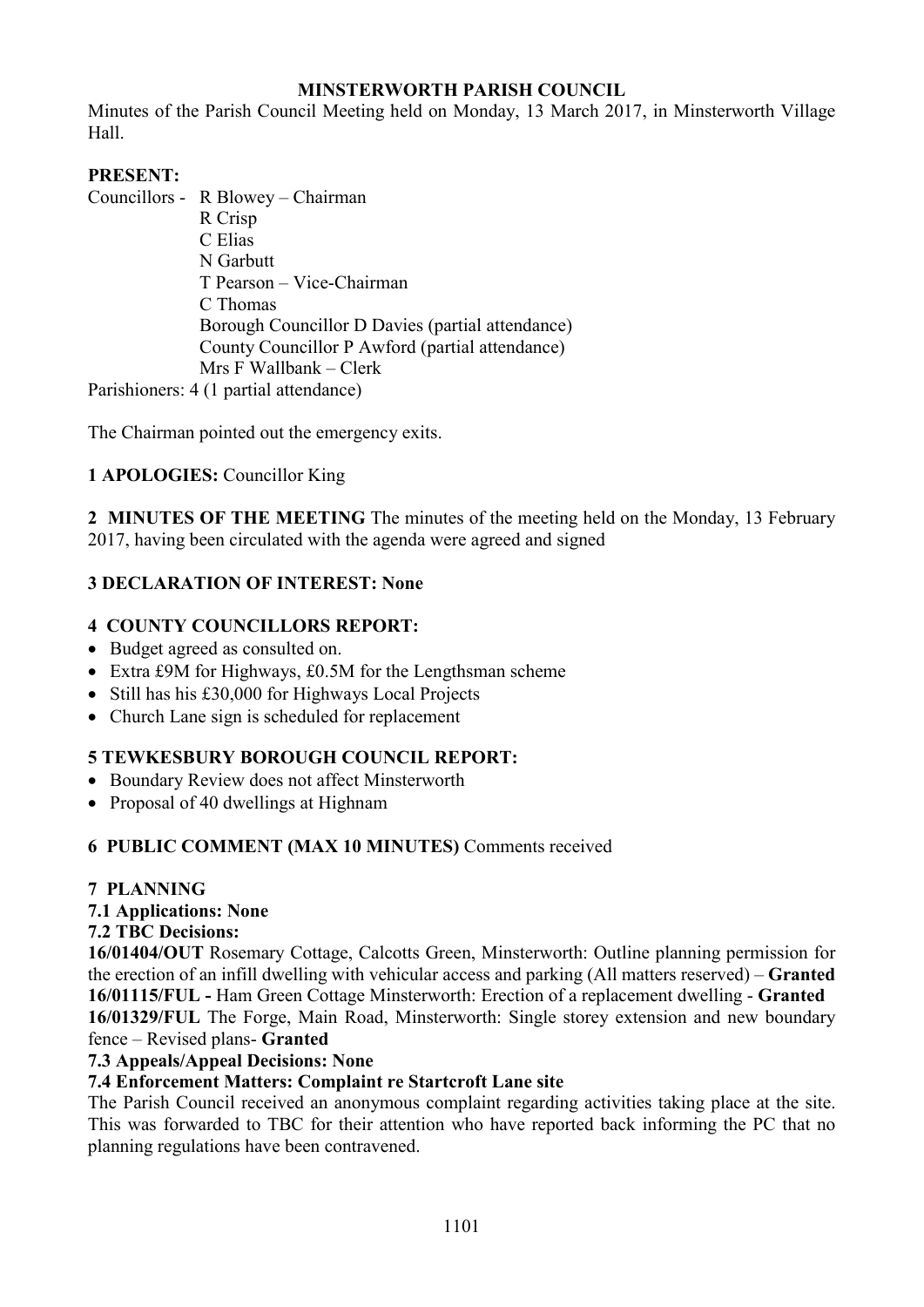## **MINSTERWORTH PARISH COUNCIL**

Minutes of the Parish Council Meeting held on Monday, 13 March 2017, in Minsterworth Village Hall.

## **PRESENT:**

Councillors - R Blowey – Chairman

 R Crisp C Elias N Garbutt T Pearson – Vice-Chairman C Thomas Borough Councillor D Davies (partial attendance) County Councillor P Awford (partial attendance) Mrs F Wallbank – Clerk

Parishioners: 4 (1 partial attendance)

The Chairman pointed out the emergency exits.

## **1 APOLOGIES:** Councillor King

**2 MINUTES OF THE MEETING** The minutes of the meeting held on the Monday, 13 February 2017, having been circulated with the agenda were agreed and signed

## **3 DECLARATION OF INTEREST: None**

## **4 COUNTY COUNCILLORS REPORT:**

- Budget agreed as consulted on.
- Extra £9M for Highways, £0.5M for the Lengthsman scheme
- Still has his £30,000 for Highways Local Projects
- Church Lane sign is scheduled for replacement

# **5 TEWKESBURY BOROUGH COUNCIL REPORT:**

- Boundary Review does not affect Minsterworth
- Proposal of 40 dwellings at Highnam

## **6 PUBLIC COMMENT (MAX 10 MINUTES)** Comments received

## **7 PLANNING**

## **7.1 Applications: None**

## **7.2 TBC Decisions:**

**16/01404/OUT** Rosemary Cottage, Calcotts Green, Minsterworth: Outline planning permission for the erection of an infill dwelling with vehicular access and parking (All matters reserved) – **Granted 16/01115/FUL -** Ham Green Cottage Minsterworth: Erection of a replacement dwelling - **Granted 16/01329/FUL** The Forge, Main Road, Minsterworth: Single storey extension and new boundary fence – Revised plans- **Granted** 

### **7.3 Appeals/Appeal Decisions: None**

## **7.4 Enforcement Matters: Complaint re Startcroft Lane site**

The Parish Council received an anonymous complaint regarding activities taking place at the site. This was forwarded to TBC for their attention who have reported back informing the PC that no planning regulations have been contravened.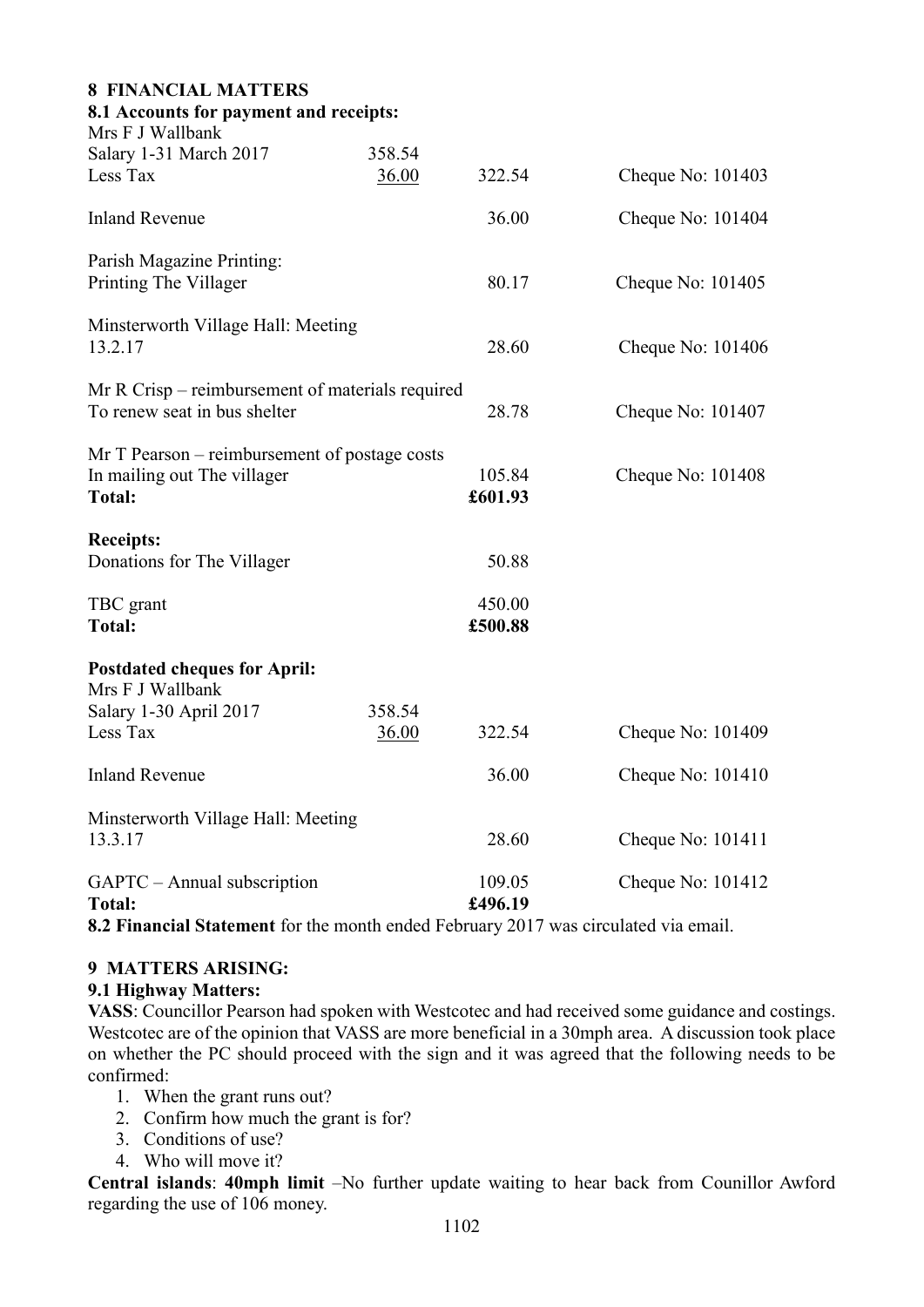| 8.1 Accounts for payment and receipts: |                   |                                                                                                                                                                                                              |
|----------------------------------------|-------------------|--------------------------------------------------------------------------------------------------------------------------------------------------------------------------------------------------------------|
| 358.54                                 |                   | Cheque No: $101403$                                                                                                                                                                                          |
|                                        |                   |                                                                                                                                                                                                              |
|                                        | 36.00             | Cheque No: $101404$                                                                                                                                                                                          |
|                                        | 80.17             | Cheque No: $101405$                                                                                                                                                                                          |
| Minsterworth Village Hall: Meeting     | 28.60             | Cheque No: $101406$                                                                                                                                                                                          |
|                                        | 28.78             | Cheque No: 101407                                                                                                                                                                                            |
|                                        | 105.84<br>£601.93 | Cheque No: $101408$                                                                                                                                                                                          |
|                                        | 50.88             |                                                                                                                                                                                                              |
|                                        | 450.00<br>£500.88 |                                                                                                                                                                                                              |
|                                        |                   |                                                                                                                                                                                                              |
| 358.54                                 |                   |                                                                                                                                                                                                              |
|                                        |                   | Cheque No: 101409                                                                                                                                                                                            |
|                                        | 36.00             | Cheque No: 101410                                                                                                                                                                                            |
| Minsterworth Village Hall: Meeting     | 28.60             | Cheque No: 101411                                                                                                                                                                                            |
|                                        | 109.05<br>£496.19 | Cheque No: $101412$                                                                                                                                                                                          |
|                                        | 36.00<br>36.00    | 322.54<br>Mr R Crisp – reimbursement of materials required<br>Mr T Pearson – reimbursement of postage costs<br>322.54<br>8.2 Financial Statement for the month ended February 2017 was circulated via email. |

### **9 MATTERS ARISING:**

#### **9.1 Highway Matters:**

**VASS**: Councillor Pearson had spoken with Westcotec and had received some guidance and costings. Westcotec are of the opinion that VASS are more beneficial in a 30mph area. A discussion took place on whether the PC should proceed with the sign and it was agreed that the following needs to be confirmed:

- 1. When the grant runs out?
- 2. Confirm how much the grant is for?
- 3. Conditions of use?
- 4. Who will move it?

**Central islands**: **40mph limit** –No further update waiting to hear back from Counillor Awford regarding the use of 106 money.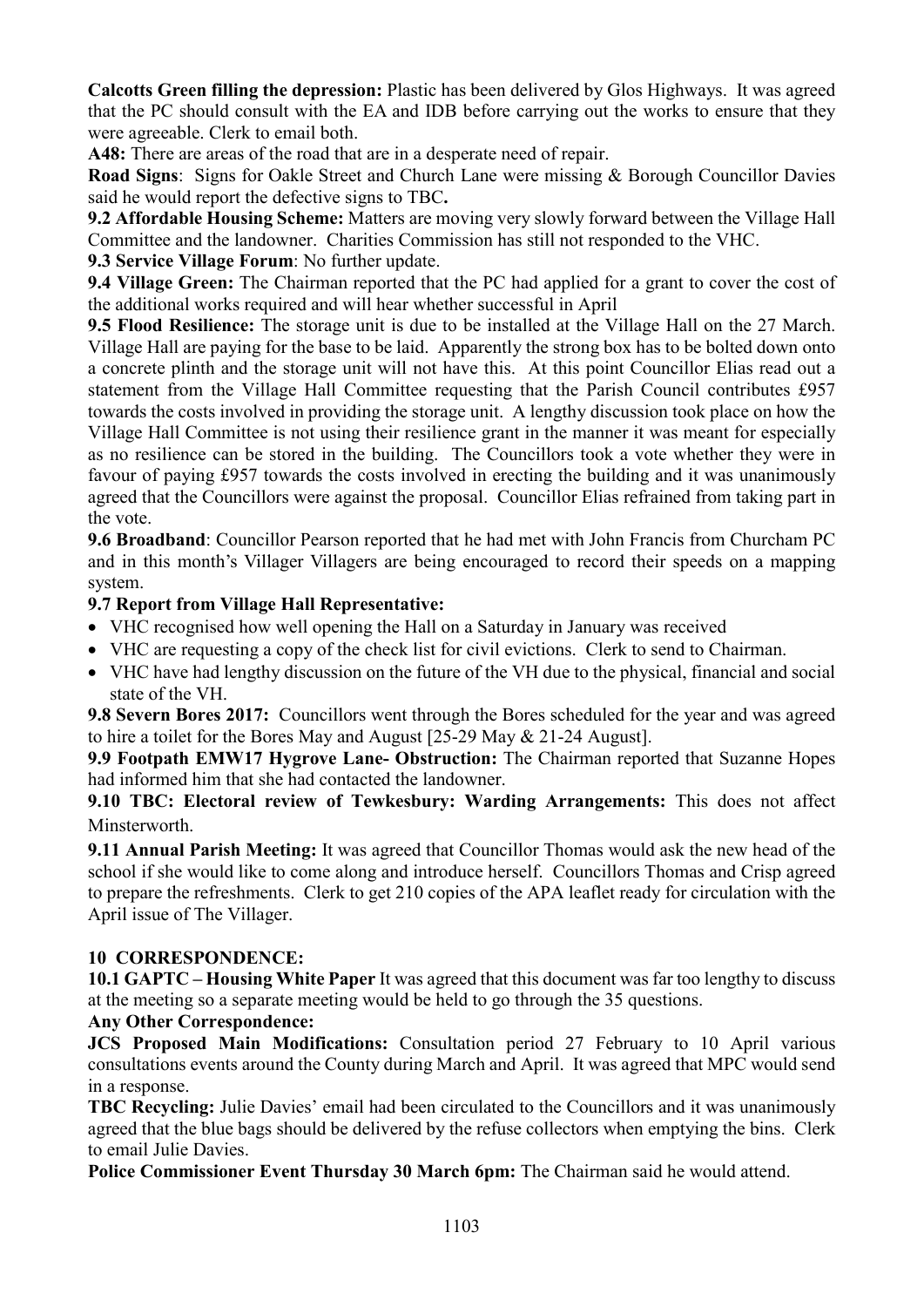**Calcotts Green filling the depression:** Plastic has been delivered by Glos Highways. It was agreed that the PC should consult with the EA and IDB before carrying out the works to ensure that they were agreeable. Clerk to email both.

**A48:** There are areas of the road that are in a desperate need of repair.

**Road Signs**: Signs for Oakle Street and Church Lane were missing & Borough Councillor Davies said he would report the defective signs to TBC**.** 

**9.2 Affordable Housing Scheme:** Matters are moving very slowly forward between the Village Hall Committee and the landowner. Charities Commission has still not responded to the VHC.

**9.3 Service Village Forum**: No further update.

**9.4 Village Green:** The Chairman reported that the PC had applied for a grant to cover the cost of the additional works required and will hear whether successful in April

**9.5 Flood Resilience:** The storage unit is due to be installed at the Village Hall on the 27 March. Village Hall are paying for the base to be laid. Apparently the strong box has to be bolted down onto a concrete plinth and the storage unit will not have this. At this point Councillor Elias read out a statement from the Village Hall Committee requesting that the Parish Council contributes £957 towards the costs involved in providing the storage unit. A lengthy discussion took place on how the Village Hall Committee is not using their resilience grant in the manner it was meant for especially as no resilience can be stored in the building. The Councillors took a vote whether they were in favour of paying £957 towards the costs involved in erecting the building and it was unanimously agreed that the Councillors were against the proposal. Councillor Elias refrained from taking part in the vote.

**9.6 Broadband**: Councillor Pearson reported that he had met with John Francis from Churcham PC and in this month's Villager Villagers are being encouraged to record their speeds on a mapping system.

## **9.7 Report from Village Hall Representative:**

- VHC recognised how well opening the Hall on a Saturday in January was received
- VHC are requesting a copy of the check list for civil evictions. Clerk to send to Chairman.
- VHC have had lengthy discussion on the future of the VH due to the physical, financial and social state of the VH.

**9.8 Severn Bores 2017:** Councillors went through the Bores scheduled for the year and was agreed to hire a toilet for the Bores May and August [25-29 May & 21-24 August].

**9.9 Footpath EMW17 Hygrove Lane- Obstruction:** The Chairman reported that Suzanne Hopes had informed him that she had contacted the landowner.

**9.10 TBC: Electoral review of Tewkesbury: Warding Arrangements:** This does not affect Minsterworth.

**9.11 Annual Parish Meeting:** It was agreed that Councillor Thomas would ask the new head of the school if she would like to come along and introduce herself. Councillors Thomas and Crisp agreed to prepare the refreshments. Clerk to get 210 copies of the APA leaflet ready for circulation with the April issue of The Villager.

## **10 CORRESPONDENCE:**

**10.1 GAPTC – Housing White Paper** It was agreed that this document was far too lengthy to discuss at the meeting so a separate meeting would be held to go through the 35 questions.

## **Any Other Correspondence:**

**JCS Proposed Main Modifications:** Consultation period 27 February to 10 April various consultations events around the County during March and April. It was agreed that MPC would send in a response.

**TBC Recycling:** Julie Davies' email had been circulated to the Councillors and it was unanimously agreed that the blue bags should be delivered by the refuse collectors when emptying the bins. Clerk to email Julie Davies.

**Police Commissioner Event Thursday 30 March 6pm:** The Chairman said he would attend.